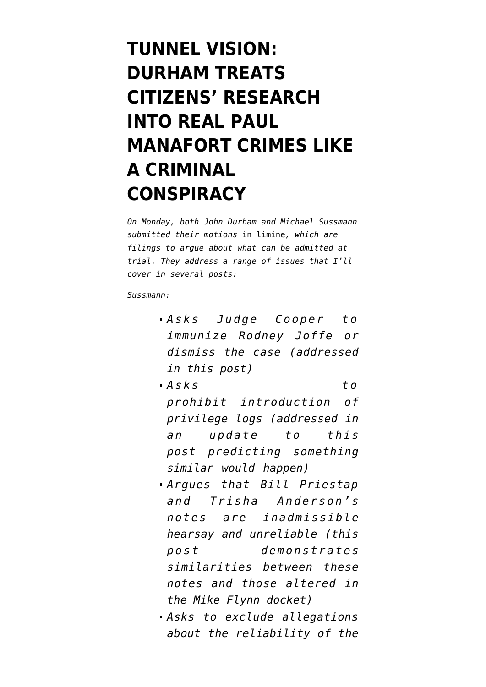# **[TUNNEL VISION:](https://www.emptywheel.net/2022/04/06/tunnel-vision-durham-treats-citizens-research-into-real-paul-manafort-crimes-like-a-criminal-conspiracy/) [DURHAM TREATS](https://www.emptywheel.net/2022/04/06/tunnel-vision-durham-treats-citizens-research-into-real-paul-manafort-crimes-like-a-criminal-conspiracy/) [CITIZENS' RESEARCH](https://www.emptywheel.net/2022/04/06/tunnel-vision-durham-treats-citizens-research-into-real-paul-manafort-crimes-like-a-criminal-conspiracy/) [INTO REAL PAUL](https://www.emptywheel.net/2022/04/06/tunnel-vision-durham-treats-citizens-research-into-real-paul-manafort-crimes-like-a-criminal-conspiracy/) [MANAFORT CRIMES LIKE](https://www.emptywheel.net/2022/04/06/tunnel-vision-durham-treats-citizens-research-into-real-paul-manafort-crimes-like-a-criminal-conspiracy/) [A CRIMINAL](https://www.emptywheel.net/2022/04/06/tunnel-vision-durham-treats-citizens-research-into-real-paul-manafort-crimes-like-a-criminal-conspiracy/) [CONSPIRACY](https://www.emptywheel.net/2022/04/06/tunnel-vision-durham-treats-citizens-research-into-real-paul-manafort-crimes-like-a-criminal-conspiracy/)**

*On Monday, both John Durham and Michael Sussmann submitted their motions* in limine*, which are filings to argue about what can be admitted at trial. They address a range of issues that I'll cover in several posts:*

*Sussmann:*

- **Asks** Judge Cooper to *[immunize Rodney Joffe](https://www.documentcloud.org/documents/21575162-220404-sussmann-motion-to-dismiss) or dismiss the case (addressed in [this post](https://www.emptywheel.net/2022/04/04/andrew-defilippis-confirmed-to-rodney-joffe-he-may-continue-indefinitely/))*
- *[Asks to](https://www.documentcloud.org/documents/21575264-220404-motion-in-limine-privilege) [prohibit](https://www.documentcloud.org/documents/21575264-220404-motion-in-limine-privilege) introduction of privilege logs (addressed in an update to [this](https://www.emptywheel.net/2022/05/01/michael-sussmanns-lawyers-complain-of-wildly-untimely-notices-from-durham/) [post](https://www.emptywheel.net/2022/05/01/michael-sussmanns-lawyers-complain-of-wildly-untimely-notices-from-durham/) predicting something similar would happen)*
- *Argues that Bill Priestap and Trisha Anderson's notes [are inadmissible](https://storage.courtlistener.com/recap/gov.uscourts.dcd.235638/gov.uscourts.dcd.235638.58.0_2.pdf) [hearsay](https://storage.courtlistener.com/recap/gov.uscourts.dcd.235638/gov.uscourts.dcd.235638.58.0_2.pdf) and unreliable [\(this](https://www.emptywheel.net/2022/04/05/john-durham-is-hiding-evidence-of-altered-notes/) [post](https://www.emptywheel.net/2022/04/05/john-durham-is-hiding-evidence-of-altered-notes/) demonstrates similarities between these notes and those altered in the Mike Flynn docket)*
- *Asks [to exclude allegations](https://storage.courtlistener.com/recap/gov.uscourts.dcd.235638/gov.uscourts.dcd.235638.60.0_1.pdf) about the reliability of the*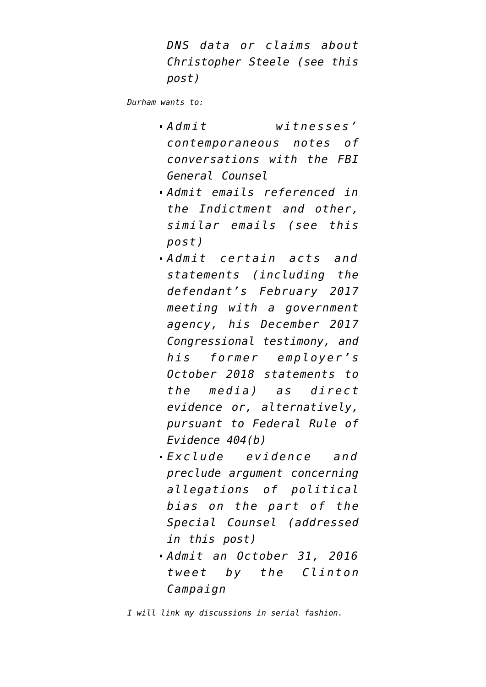*DNS data or claims about Christopher Steele (see [this](https://www.emptywheel.net/2022/04/06/tunnel-vision-durham-treats-citizens-research-into-real-paul-manafort-crimes-like-a-criminal-conspiracy/) [post](https://www.emptywheel.net/2022/04/06/tunnel-vision-durham-treats-citizens-research-into-real-paul-manafort-crimes-like-a-criminal-conspiracy/))*

*Durham [wants to:](https://storage.courtlistener.com/recap/gov.uscourts.dcd.235638/gov.uscourts.dcd.235638.61.0_1.pdf)*

- *Admit witnesses' contemporaneous notes of conversations with the FBI General Counsel*
- *Admit emails referenced in the Indictment and other, similar emails (see [this](https://www.emptywheel.net/2022/04/06/tunnel-vision-durham-treats-citizens-research-into-real-paul-manafort-crimes-like-a-criminal-conspiracy/) [post](https://www.emptywheel.net/2022/04/06/tunnel-vision-durham-treats-citizens-research-into-real-paul-manafort-crimes-like-a-criminal-conspiracy/))*
- *Admit certain acts and statements (including the defendant's February 2017 meeting with a government agency, his December 2017 Congressional testimony, and his former employer's October 2018 statements to the media) as direct evidence or, alternatively, pursuant to Federal Rule of Evidence 404(b)*
- *Exclude evidence and preclude argument concerning allegations of political bias on the part of the Special Counsel ([addressed](https://www.emptywheel.net/2022/04/05/the-guy-investigating-the-hiring-of-a-special-counsel-insists-that-the-hiring-of-a-special-counsel-cannot-be-political/) [in this post](https://www.emptywheel.net/2022/04/05/the-guy-investigating-the-hiring-of-a-special-counsel-insists-that-the-hiring-of-a-special-counsel-cannot-be-political/))*
- *Admit an October 31, 2016 tweet by the Clinton Campaign*

*I will link my discussions in serial fashion.*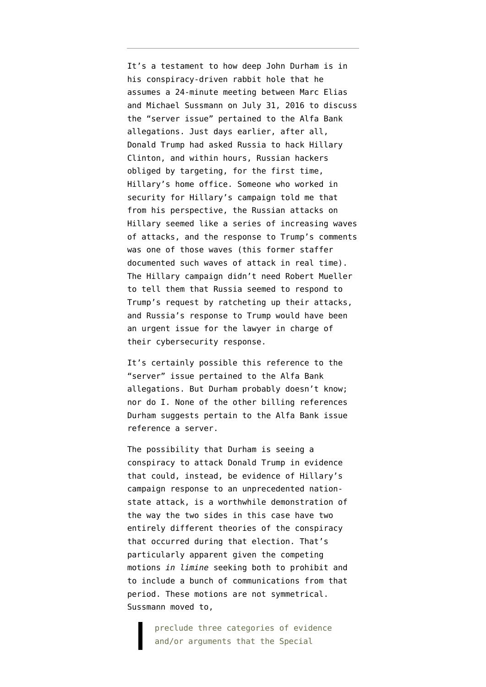It's a testament to how deep John Durham is in his conspiracy-driven rabbit hole that he [assumes](https://www.documentcloud.org/documents/21080001-210916-sussmann-indictment) a 24-minute meeting between Marc Elias and Michael Sussmann on July 31, 2016 to discuss the "server issue" pertained to the Alfa Bank allegations. Just days earlier, after all, Donald Trump had asked Russia to hack Hillary Clinton, and within hours, Russian hackers [obliged by targeting](https://www.documentcloud.org/documents/6002293-190322-Redacted-Mueller-Report#document/p57/a2094314), for the first time, Hillary's home office. Someone who worked in security for Hillary's campaign told me that from his perspective, the Russian attacks on Hillary seemed like a series of increasing waves of attacks, and the response to Trump's comments was one of those waves (this former staffer documented such waves of attack in real time). The Hillary campaign didn't need Robert Mueller to tell them that Russia seemed to respond to Trump's request by ratcheting up their attacks, and Russia's response to Trump would have been an urgent issue for the lawyer in charge of their cybersecurity response.

It's certainly possible this reference to the "server" issue pertained to the Alfa Bank allegations. But Durham probably doesn't know; nor do I. None of the other billing references Durham suggests pertain to the Alfa Bank issue reference a server.

The possibility that Durham is seeing a conspiracy to attack Donald Trump in evidence that could, instead, be evidence of Hillary's campaign response to an unprecedented nationstate attack, is a worthwhile demonstration of the way the two sides in this case have two entirely different theories of the conspiracy that occurred during that election. That's particularly apparent given the competing motions *in limine* seeking both to prohibit and to include a bunch of communications from that period. These motions are not symmetrical. Sussmann [moved](https://storage.courtlistener.com/recap/gov.uscourts.dcd.235638/gov.uscourts.dcd.235638.60.0_1.pdf) to,

> preclude three categories of evidence and/or arguments that the Special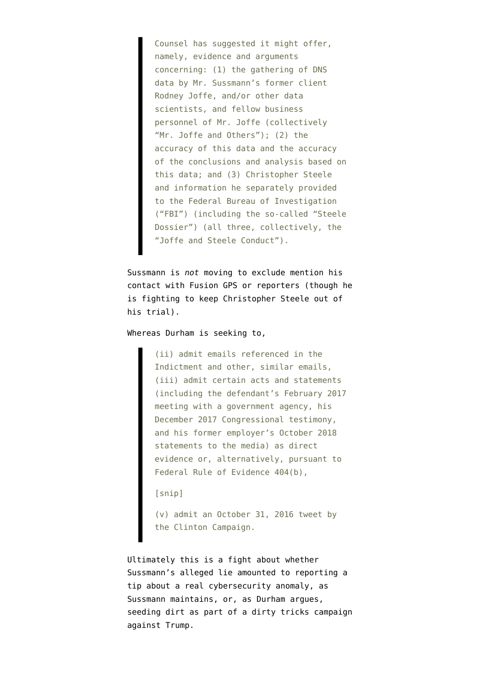Counsel has suggested it might offer, namely, evidence and arguments concerning: (1) the gathering of DNS data by Mr. Sussmann's former client Rodney Joffe, and/or other data scientists, and fellow business personnel of Mr. Joffe (collectively "Mr. Joffe and Others"); (2) the accuracy of this data and the accuracy of the conclusions and analysis based on this data; and (3) Christopher Steele and information he separately provided to the Federal Bureau of Investigation ("FBI") (including the so-called "Steele Dossier") (all three, collectively, the "Joffe and Steele Conduct").

Sussmann is *not* moving to exclude mention his contact with Fusion GPS or reporters (though he is fighting to keep Christopher Steele out of his trial).

Whereas Durham is [seeking](https://storage.courtlistener.com/recap/gov.uscourts.dcd.235638/gov.uscourts.dcd.235638.61.0_1.pdf) to,

(ii) admit emails referenced in the Indictment and other, similar emails, (iii) admit certain acts and statements (including the defendant's February 2017 meeting with a government agency, his December 2017 Congressional testimony, and his former employer's October 2018 statements to the media) as direct evidence or, alternatively, pursuant to Federal Rule of Evidence 404(b),

[snip]

(v) admit an October 31, 2016 tweet by the Clinton Campaign.

Ultimately this is a fight about whether Sussmann's alleged lie amounted to reporting a tip about a real cybersecurity anomaly, as Sussmann maintains, or, as Durham argues, seeding dirt as part of a dirty tricks campaign against Trump.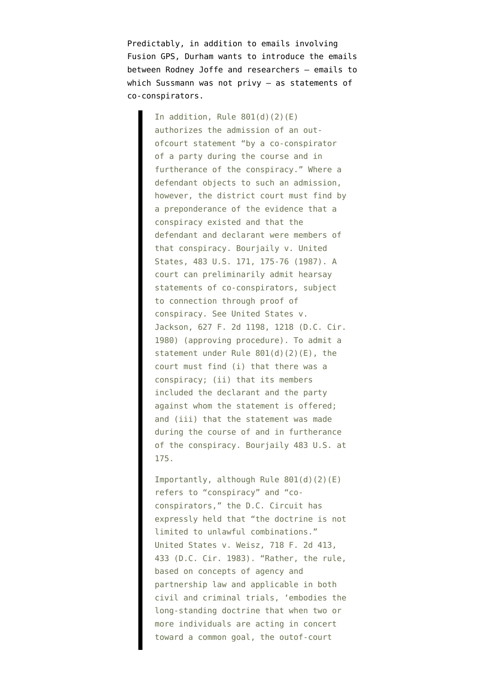Predictably, in addition to emails involving Fusion GPS, Durham wants to introduce the emails between Rodney Joffe and researchers — emails to which Sussmann was not privy — as statements of co-conspirators.

> In addition, Rule  $801(d)(2)(E)$ authorizes the admission of an outofcourt statement "by a co-conspirator of a party during the course and in furtherance of the conspiracy." Where a defendant objects to such an admission, however, the district court must find by a preponderance of the evidence that a conspiracy existed and that the defendant and declarant were members of that conspiracy. Bourjaily v. United States, 483 U.S. 171, 175-76 (1987). A court can preliminarily admit hearsay statements of co-conspirators, subject to connection through proof of conspiracy. See United States v. Jackson, 627 F. 2d 1198, 1218 (D.C. Cir. 1980) (approving procedure). To admit a statement under Rule 801(d)(2)(E), the court must find (i) that there was a conspiracy; (ii) that its members included the declarant and the party against whom the statement is offered; and (iii) that the statement was made during the course of and in furtherance of the conspiracy. Bourjaily 483 U.S. at 175.

> Importantly, although Rule 801(d)(2)(E) refers to "conspiracy" and "coconspirators," the D.C. Circuit has expressly held that "the doctrine is not limited to unlawful combinations." United States v. Weisz, 718 F. 2d 413, 433 (D.C. Cir. 1983). "Rather, the rule, based on concepts of agency and partnership law and applicable in both civil and criminal trials, 'embodies the long-standing doctrine that when two or more individuals are acting in concert toward a common goal, the outof-court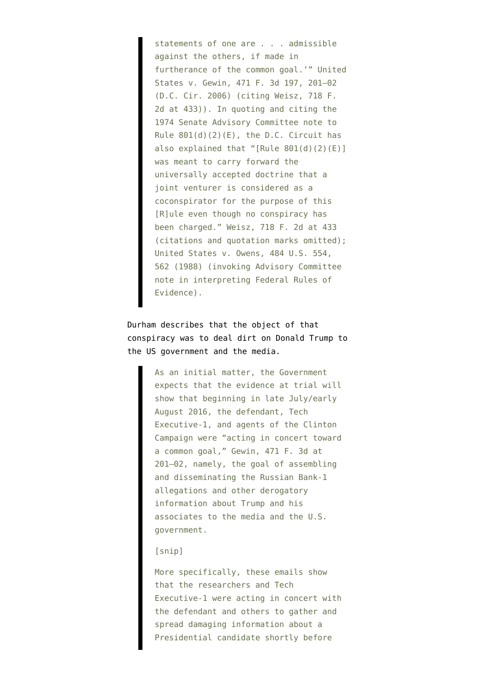statements of one are . . . admissible against the others, if made in furtherance of the common goal.'" United States v. Gewin, 471 F. 3d 197, 201–02 (D.C. Cir. 2006) (citing Weisz, 718 F. 2d at 433)). In quoting and citing the 1974 Senate Advisory Committee note to Rule  $801(d)(2)(E)$ , the D.C. Circuit has also explained that "[Rule 801(d)(2)(E)] was meant to carry forward the universally accepted doctrine that a joint venturer is considered as a coconspirator for the purpose of this [R]ule even though no conspiracy has been charged." Weisz, 718 F. 2d at 433 (citations and quotation marks omitted); United States v. Owens, 484 U.S. 554, 562 (1988) (invoking Advisory Committee note in interpreting Federal Rules of Evidence).

# Durham describes that the object of that conspiracy was to deal dirt on Donald Trump to the US government and the media.

As an initial matter, the Government expects that the evidence at trial will show that beginning in late July/early August 2016, the defendant, Tech Executive-1, and agents of the Clinton Campaign were "acting in concert toward a common goal," Gewin, 471 F. 3d at 201–02, namely, the goal of assembling and disseminating the Russian Bank-1 allegations and other derogatory information about Trump and his associates to the media and the U.S. government.

## [snip]

More specifically, these emails show that the researchers and Tech Executive-1 were acting in concert with the defendant and others to gather and spread damaging information about a Presidential candidate shortly before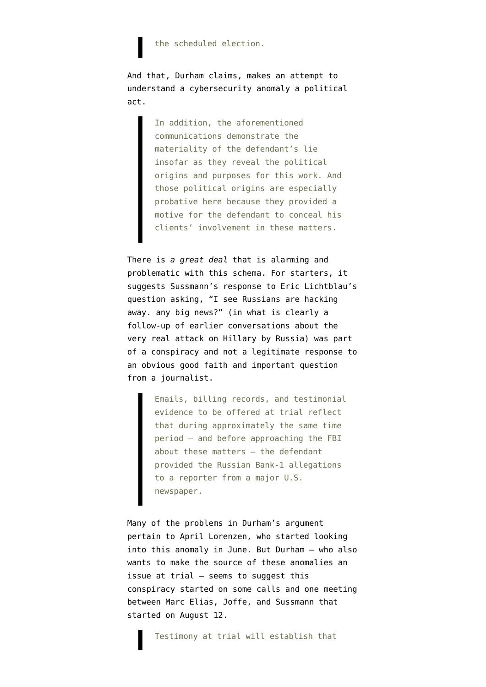### the scheduled election.

And that, Durham claims, makes an attempt to understand a cybersecurity anomaly a political act.

> In addition, the aforementioned communications demonstrate the materiality of the defendant's lie insofar as they reveal the political origins and purposes for this work. And those political origins are especially probative here because they provided a motive for the defendant to conceal his clients' involvement in these matters.

There is *a great deal* that is alarming and problematic with this schema. For starters, it suggests Sussmann's response to Eric Lichtblau's question asking, "I see Russians are hacking away. any big news?" (in what is clearly a follow-up of earlier conversations about the very real attack on Hillary by Russia) was part of a conspiracy and not a legitimate response to an obvious good faith and important question from a journalist.

> Emails, billing records, and testimonial evidence to be offered at trial reflect that during approximately the same time period – and before approaching the FBI about these matters – the defendant provided the Russian Bank-1 allegations to a reporter from a major U.S. newspaper.

Many of the problems in Durham's argument pertain to April Lorenzen, who started looking into this anomaly in June. But Durham — who also wants to make the source of these anomalies an issue at trial — seems to suggest this conspiracy started on some calls and one meeting between Marc Elias, Joffe, and Sussmann that started on August 12.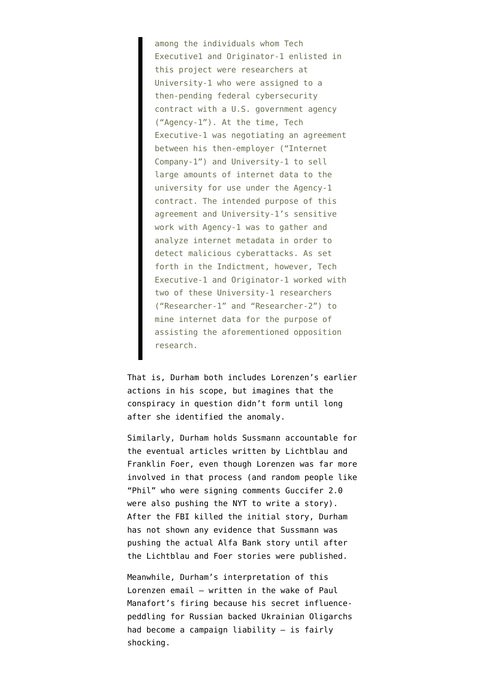among the individuals whom Tech Executive1 and Originator-1 enlisted in this project were researchers at University-1 who were assigned to a then-pending federal cybersecurity contract with a U.S. government agency ("Agency-1"). At the time, Tech Executive-1 was negotiating an agreement between his then-employer ("Internet Company-1") and University-1 to sell large amounts of internet data to the university for use under the Agency-1 contract. The intended purpose of this agreement and University-1's sensitive work with Agency-1 was to gather and analyze internet metadata in order to detect malicious cyberattacks. As set forth in the Indictment, however, Tech Executive-1 and Originator-1 worked with two of these University-1 researchers ("Researcher-1" and "Researcher-2") to mine internet data for the purpose of assisting the aforementioned opposition research.

That is, Durham both includes Lorenzen's earlier actions in his scope, but imagines that the conspiracy in question didn't form until long after she identified the anomaly.

Similarly, Durham holds Sussmann accountable for the eventual articles written by Lichtblau and Franklin Foer, even though Lorenzen was far more involved in that process (and random people like "Phil" who were signing comments Guccifer 2.0 [were also pushing the NYT to write a story](https://www.emptywheel.net/2022/03/28/the-alfa-bank-dark-net-at-noon/)). After the FBI killed the initial story, Durham has not shown any evidence that Sussmann was pushing the actual Alfa Bank story until after the Lichtblau and Foer stories were published.

Meanwhile, Durham's interpretation of this Lorenzen email — written in the wake of Paul Manafort's firing because his secret influencepeddling for Russian backed Ukrainian Oligarchs had become a campaign liability — is fairly shocking.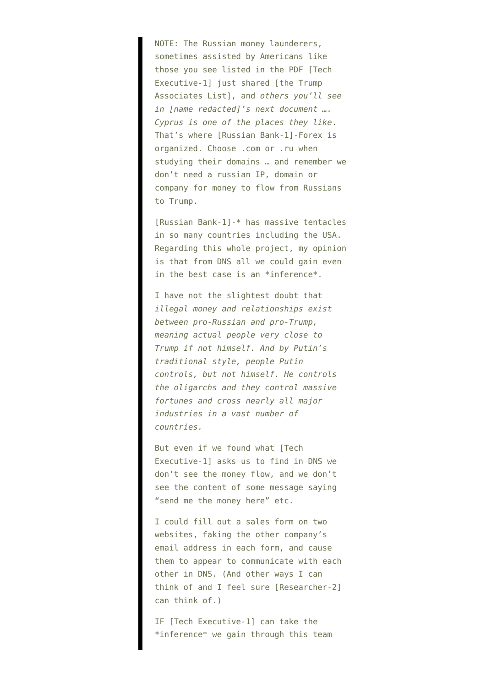NOTE: The Russian money launderers, sometimes assisted by Americans like those you see listed in the PDF [Tech Executive-1] just shared [the Trump Associates List], and *others you'll see in [name redacted]'s next document …. Cyprus is one of the places they like*. That's where [Russian Bank-1]-Forex is organized. Choose .com or .ru when studying their domains … and remember we don't need a russian IP, domain or company for money to flow from Russians to Trump.

[Russian Bank-1]-\* has massive tentacles in so many countries including the USA. Regarding this whole project, my opinion is that from DNS all we could gain even in the best case is an \*inference\*.

I have not the slightest doubt that *illegal money and relationships exist between pro-Russian and pro-Trump, meaning actual people very close to Trump if not himself. And by Putin's traditional style, people Putin controls, but not himself. He controls the oligarchs and they control massive fortunes and cross nearly all major industries in a vast number of countries.*

But even if we found what [Tech Executive-1] asks us to find in DNS we don't see the money flow, and we don't see the content of some message saying "send me the money here" etc.

I could fill out a sales form on two websites, faking the other company's email address in each form, and cause them to appear to communicate with each other in DNS. (And other ways I can think of and I feel sure [Researcher-2] can think of.)

IF [Tech Executive-1] can take the \*inference\* we gain through this team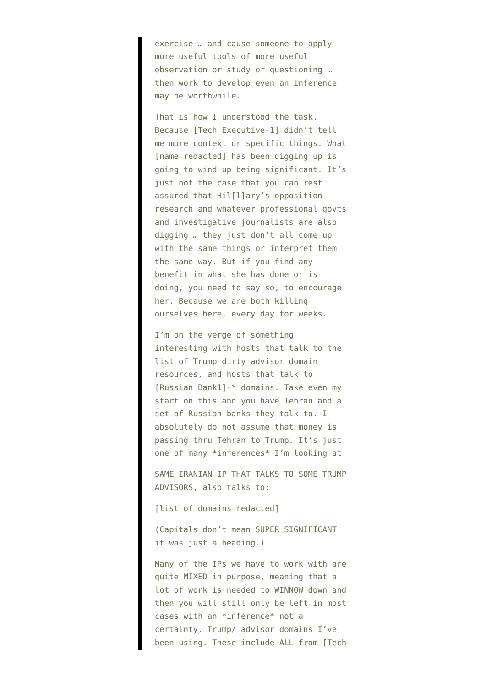exercise … and cause someone to apply more useful tools of more useful observation or study or questioning … then work to develop even an inference may be worthwhile.

That is how I understood the task. Because [Tech Executive-1] didn't tell me more context or specific things. What [name redacted] has been digging up is going to wind up being significant. It's just not the case that you can rest assured that Hil[l]ary's opposition research and whatever professional govts and investigative journalists are also digging … they just don't all come up with the same things or interpret them the same way. But if you find any benefit in what she has done or is doing, you need to say so, to encourage her. Because we are both killing ourselves here, every day for weeks.

I'm on the verge of something interesting with hosts that talk to the list of Trump dirty advisor domain resources, and hosts that talk to [Russian Bank1]-\* domains. Take even my start on this and you have Tehran and a set of Russian banks they talk to. I absolutely do not assume that money is passing thru Tehran to Trump. It's just one of many \*inferences\* I'm looking at.

SAME IRANIAN IP THAT TALKS TO SOME TRUMP ADVISORS, also talks to:

[list of domains redacted]

(Capitals don't mean SUPER SIGNIFICANT it was just a heading.)

Many of the IPs we have to work with are quite MIXED in purpose, meaning that a lot of work is needed to WINNOW down and then you will still only be left in most cases with an \*inference\* not a certainty. Trump/ advisor domains I've been using. These include ALL from [Tech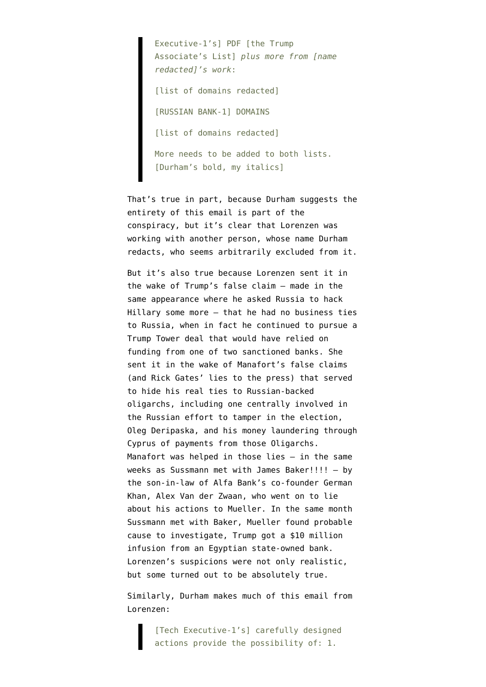Executive-1's] PDF [the Trump Associate's List] *plus more from [name redacted]'s work*: [list of domains redacted] [RUSSIAN BANK-1] DOMAINS [list of domains redacted] More needs to be added to both lists. [Durham's bold, my italics]

That's true in part, because Durham suggests the entirety of this email is part of the conspiracy, but it's clear that Lorenzen was working with another person, whose name Durham redacts, who seems arbitrarily excluded from it.

But it's also true because Lorenzen sent it in the wake of Trump's false claim — made in the same appearance where he asked Russia to hack Hillary some more — that he had no business ties to Russia, when in fact he continued to pursue a Trump Tower deal that would have relied on funding from one of two sanctioned banks. She sent it in the wake of Manafort's false claims (and Rick Gates' lies to the press) that served to hide his real ties to Russian-backed oligarchs, including one centrally involved in the Russian effort to tamper in the election, Oleg Deripaska, and his money laundering through Cyprus of payments from those Oligarchs. Manafort was helped in those lies — in the same weeks as Sussmann met with James Baker!!!! — by the son-in-law of Alfa Bank's co-founder German Khan, Alex Van der Zwaan, [who went on to lie](https://www.justice.gov/archives/sco/file/1036406/download) about his actions to Mueller. In the same month Sussmann met with Baker, Mueller found probable cause to investigate, Trump got a \$10 million infusion from an Egyptian state-owned bank. Lorenzen's suspicions were not only realistic, but some turned out to be absolutely true.

Similarly, Durham makes much of this email from Lorenzen:

> [Tech Executive-1's] carefully designed actions provide the possibility of: 1.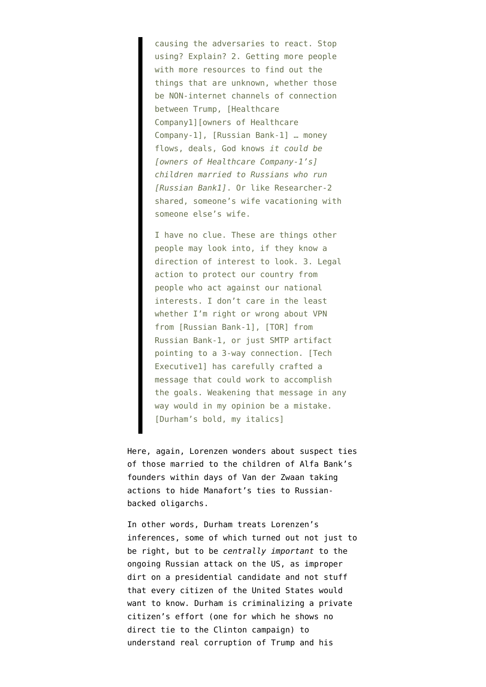causing the adversaries to react. Stop using? Explain? 2. Getting more people with more resources to find out the things that are unknown, whether those be NON-internet channels of connection between Trump, [Healthcare Company1][owners of Healthcare Company-1], [Russian Bank-1] … money flows, deals, God knows *it could be [owners of Healthcare Company-1's] children married to Russians who run [Russian Bank1]*. Or like Researcher-2 shared, someone's wife vacationing with someone else's wife.

I have no clue. These are things other people may look into, if they know a direction of interest to look. 3. Legal action to protect our country from people who act against our national interests. I don't care in the least whether I'm right or wrong about VPN from [Russian Bank-1], [TOR] from Russian Bank-1, or just SMTP artifact pointing to a 3-way connection. [Tech Executive1] has carefully crafted a message that could work to accomplish the goals. Weakening that message in any way would in my opinion be a mistake. [Durham's bold, my italics]

Here, again, Lorenzen wonders about suspect ties of those married to the children of Alfa Bank's founders within days of Van der Zwaan taking actions to hide Manafort's ties to Russianbacked oligarchs.

In other words, Durham treats Lorenzen's inferences, some of which turned out not just to be right, but to be *centrally important* to the ongoing Russian attack on the US, as improper dirt on a presidential candidate and not stuff that every citizen of the United States would want to know. Durham is criminalizing a private citizen's effort (one for which he shows no direct tie to the Clinton campaign) to understand real corruption of Trump and his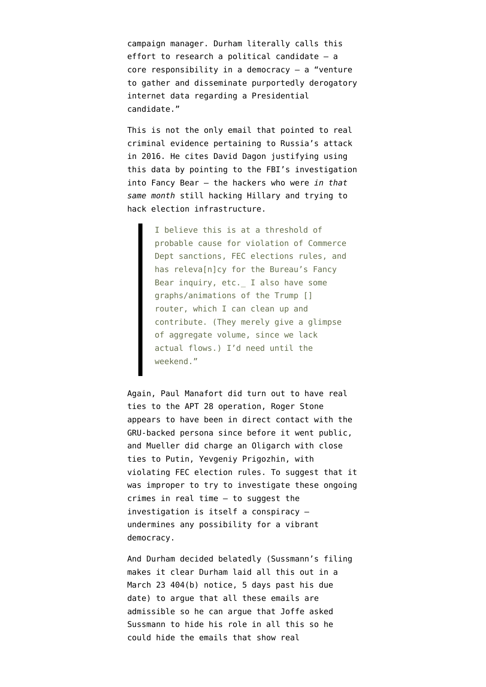campaign manager. Durham literally calls this effort to research a political candidate — a core responsibility in a democracy  $-$  a "venture to gather and disseminate purportedly derogatory internet data regarding a Presidential candidate."

This is not the only email that pointed to real criminal evidence pertaining to Russia's attack in 2016. He cites David Dagon justifying using this data by pointing to the FBI's investigation into Fancy Bear — the hackers who were *in that same month* still hacking Hillary and trying to hack election infrastructure.

> I believe this is at a threshold of probable cause for violation of Commerce Dept sanctions, FEC elections rules, and has releva[n]cy for the Bureau's Fancy Bear inquiry, etc. I also have some graphs/animations of the Trump [] router, which I can clean up and contribute. (They merely give a glimpse of aggregate volume, since we lack actual flows.) I'd need until the weekend."

Again, Paul Manafort did turn out to have real ties to the APT 28 operation, Roger Stone appears to have been in direct contact with the GRU-backed persona since before it went public, and Mueller did charge an Oligarch with close ties to Putin, Yevgeniy Prigozhin, with violating FEC election rules. To suggest that it was improper to try to investigate these ongoing crimes in real time — to suggest the investigation is itself a conspiracy undermines any possibility for a vibrant democracy.

And Durham decided belatedly (Sussmann's filing makes it clear Durham laid all this out in a March 23 404(b) notice, 5 days past his due date) to argue that all these emails are admissible so he can argue that Joffe asked Sussmann to hide his role in all this so he could hide the emails that show real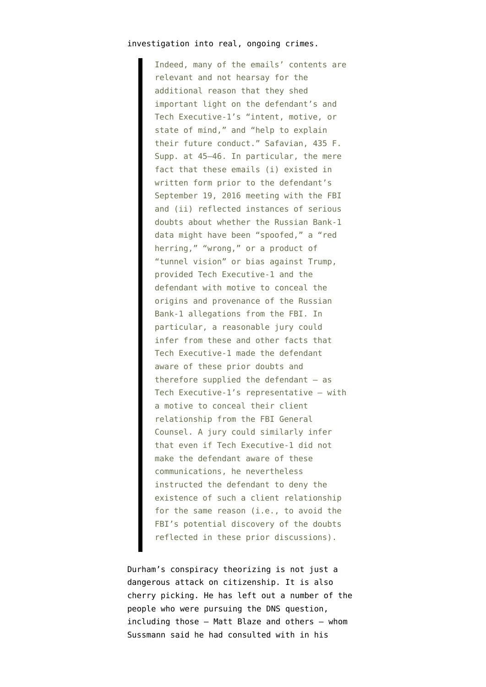### investigation into real, ongoing crimes.

Indeed, many of the emails' contents are relevant and not hearsay for the additional reason that they shed important light on the defendant's and Tech Executive-1's "intent, motive, or state of mind," and "help to explain their future conduct." Safavian, 435 F. Supp. at 45–46. In particular, the mere fact that these emails (i) existed in written form prior to the defendant's September 19, 2016 meeting with the FBI and (ii) reflected instances of serious doubts about whether the Russian Bank-1 data might have been "spoofed," a "red herring," "wrong," or a product of "tunnel vision" or bias against Trump, provided Tech Executive-1 and the defendant with motive to conceal the origins and provenance of the Russian Bank-1 allegations from the FBI. In particular, a reasonable jury could infer from these and other facts that Tech Executive-1 made the defendant aware of these prior doubts and therefore supplied the defendant  $-$  as Tech Executive-1's representative – with a motive to conceal their client relationship from the FBI General Counsel. A jury could similarly infer that even if Tech Executive-1 did not make the defendant aware of these communications, he nevertheless instructed the defendant to deny the existence of such a client relationship for the same reason (i.e., to avoid the FBI's potential discovery of the doubts reflected in these prior discussions).

Durham's conspiracy theorizing is not just a dangerous attack on citizenship. It is also cherry picking. He has left out a number of the people who were pursuing the DNS question, including those — Matt Blaze and others — whom Sussmann said he had consulted with in his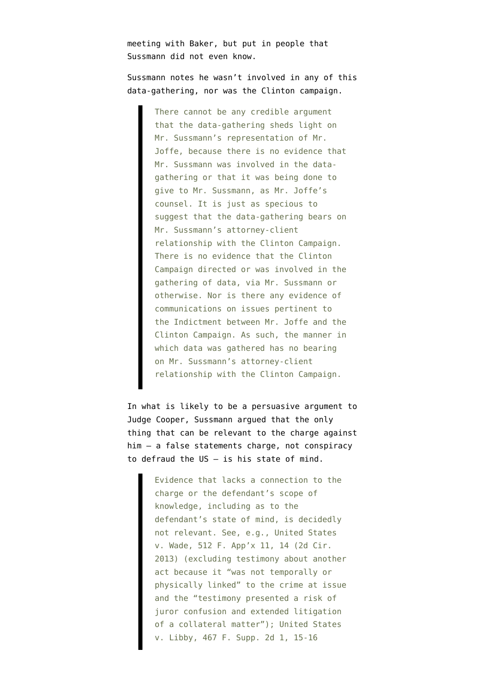meeting with Baker, but put in people that Sussmann did not even know.

Sussmann notes he wasn't involved in any of this data-gathering, nor was the Clinton campaign.

> There cannot be any credible argument that the data-gathering sheds light on Mr. Sussmann's representation of Mr. Joffe, because there is no evidence that Mr. Sussmann was involved in the datagathering or that it was being done to give to Mr. Sussmann, as Mr. Joffe's counsel. It is just as specious to suggest that the data-gathering bears on Mr. Sussmann's attorney-client relationship with the Clinton Campaign. There is no evidence that the Clinton Campaign directed or was involved in the gathering of data, via Mr. Sussmann or otherwise. Nor is there any evidence of communications on issues pertinent to the Indictment between Mr. Joffe and the Clinton Campaign. As such, the manner in which data was gathered has no bearing on Mr. Sussmann's attorney-client relationship with the Clinton Campaign.

In what is likely to be a persuasive argument to Judge Cooper, Sussmann argued that the only thing that can be relevant to the charge against him — a false statements charge, not conspiracy to defraud the US — is his state of mind.

> Evidence that lacks a connection to the charge or the defendant's scope of knowledge, including as to the defendant's state of mind, is decidedly not relevant. See, e.g., United States v. Wade, 512 F. App'x 11, 14 (2d Cir. 2013) (excluding testimony about another act because it "was not temporally or physically linked" to the crime at issue and the "testimony presented a risk of juror confusion and extended litigation of a collateral matter"); United States v. Libby, 467 F. Supp. 2d 1, 15-16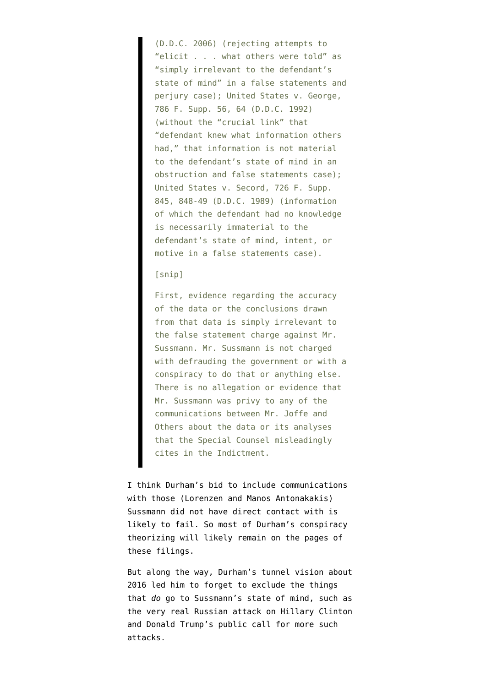(D.D.C. 2006) (rejecting attempts to "elicit . . . what others were told" as "simply irrelevant to the defendant's state of mind" in a false statements and perjury case); United States v. George, 786 F. Supp. 56, 64 (D.D.C. 1992) (without the "crucial link" that "defendant knew what information others had," that information is not material to the defendant's state of mind in an obstruction and false statements case); United States v. Secord, 726 F. Supp. 845, 848-49 (D.D.C. 1989) (information of which the defendant had no knowledge is necessarily immaterial to the defendant's state of mind, intent, or motive in a false statements case).

[snip]

First, evidence regarding the accuracy of the data or the conclusions drawn from that data is simply irrelevant to the false statement charge against Mr. Sussmann. Mr. Sussmann is not charged with defrauding the government or with a conspiracy to do that or anything else. There is no allegation or evidence that Mr. Sussmann was privy to any of the communications between Mr. Joffe and Others about the data or its analyses that the Special Counsel misleadingly cites in the Indictment.

I think Durham's bid to include communications with those (Lorenzen and Manos Antonakakis) Sussmann did not have direct contact with is likely to fail. So most of Durham's conspiracy theorizing will likely remain on the pages of these filings.

But along the way, Durham's tunnel vision about 2016 led him to forget to exclude the things that *do* go to Sussmann's state of mind, such as the very real Russian attack on Hillary Clinton and Donald Trump's public call for more such attacks.